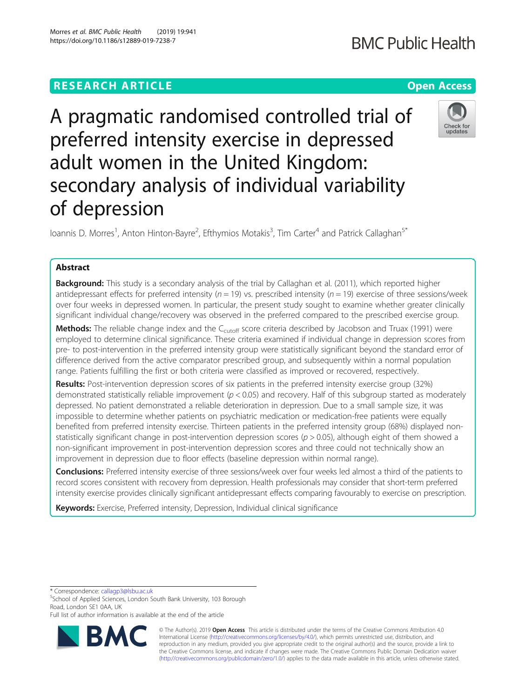## **RESEARCH ARTICLE Example 2014 12:30 The Contract of Contract ACCESS**

# A pragmatic randomised controlled trial of preferred intensity exercise in depressed adult women in the United Kingdom: secondary analysis of individual variability of depression

loannis D. Morres<sup>1</sup>, Anton Hinton-Bayre<sup>2</sup>, Efthymios Motakis<sup>3</sup>, Tim Carter<sup>4</sup> and Patrick Callaghan<sup>5\*</sup>

## Abstract

**Background:** This study is a secondary analysis of the trial by Callaghan et al. (2011), which reported higher antidepressant effects for preferred intensity ( $n = 19$ ) vs. prescribed intensity ( $n = 19$ ) exercise of three sessions/week over four weeks in depressed women. In particular, the present study sought to examine whether greater clinically significant individual change/recovery was observed in the preferred compared to the prescribed exercise group.

Methods: The reliable change index and the C<sub>cutoff</sub> score criteria described by Jacobson and Truax (1991) were employed to determine clinical significance. These criteria examined if individual change in depression scores from pre- to post-intervention in the preferred intensity group were statistically significant beyond the standard error of difference derived from the active comparator prescribed group, and subsequently within a normal population range. Patients fulfilling the first or both criteria were classified as improved or recovered, respectively.

Results: Post-intervention depression scores of six patients in the preferred intensity exercise group (32%) demonstrated statistically reliable improvement ( $p < 0.05$ ) and recovery. Half of this subgroup started as moderately depressed. No patient demonstrated a reliable deterioration in depression. Due to a small sample size, it was impossible to determine whether patients on psychiatric medication or medication-free patients were equally benefited from preferred intensity exercise. Thirteen patients in the preferred intensity group (68%) displayed nonstatistically significant change in post-intervention depression scores  $(p > 0.05)$ , although eight of them showed a non-significant improvement in post-intervention depression scores and three could not technically show an improvement in depression due to floor effects (baseline depression within normal range).

Conclusions: Preferred intensity exercise of three sessions/week over four weeks led almost a third of the patients to record scores consistent with recovery from depression. Health professionals may consider that short-term preferred intensity exercise provides clinically significant antidepressant effects comparing favourably to exercise on prescription.

Keywords: Exercise, Preferred intensity, Depression, Individual clinical significance

\* Correspondence: [callagp3@lsbu.ac.uk](mailto:callagp3@lsbu.ac.uk) <sup>5</sup>

<sup>5</sup>School of Applied Sciences, London South Bank University, 103 Borough Road, London SE1 0AA, UK

Full list of author information is available at the end of the article



© The Author(s). 2019 **Open Access** This article is distributed under the terms of the Creative Commons Attribution 4.0 International License [\(http://creativecommons.org/licenses/by/4.0/](http://creativecommons.org/licenses/by/4.0/)), which permits unrestricted use, distribution, and reproduction in any medium, provided you give appropriate credit to the original author(s) and the source, provide a link to the Creative Commons license, and indicate if changes were made. The Creative Commons Public Domain Dedication waiver [\(http://creativecommons.org/publicdomain/zero/1.0/](http://creativecommons.org/publicdomain/zero/1.0/)) applies to the data made available in this article, unless otherwise stated.



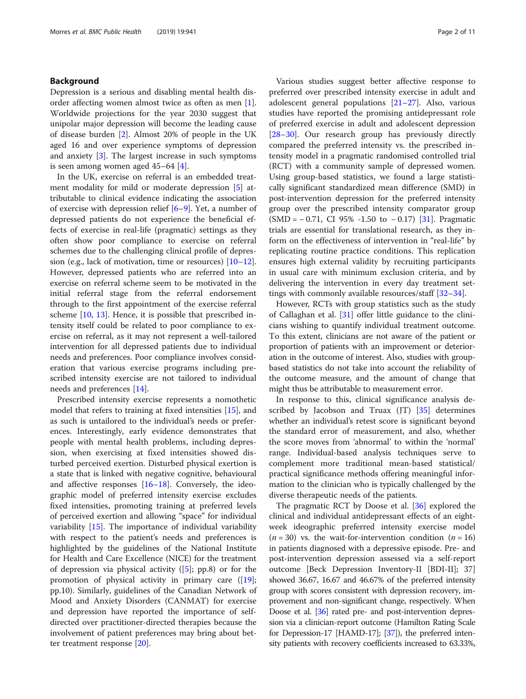## Background

Depression is a serious and disabling mental health disorder affecting women almost twice as often as men [\[1](#page-8-0)]. Worldwide projections for the year 2030 suggest that unipolar major depression will become the leading cause of disease burden [\[2](#page-8-0)]. Almost 20% of people in the UK aged 16 and over experience symptoms of depression and anxiety [[3\]](#page-8-0). The largest increase in such symptoms is seen among women aged 45–64 [[4\]](#page-9-0).

In the UK, exercise on referral is an embedded treatment modality for mild or moderate depression [\[5](#page-9-0)] attributable to clinical evidence indicating the association of exercise with depression relief [\[6](#page-9-0)–[9\]](#page-9-0). Yet, a number of depressed patients do not experience the beneficial effects of exercise in real-life (pragmatic) settings as they often show poor compliance to exercise on referral schemes due to the challenging clinical profile of depression (e.g., lack of motivation, time or resources) [[10](#page-9-0)–[12](#page-9-0)]. However, depressed patients who are referred into an exercise on referral scheme seem to be motivated in the initial referral stage from the referral endorsement through to the first appointment of the exercise referral scheme [[10,](#page-9-0) [13\]](#page-9-0). Hence, it is possible that prescribed intensity itself could be related to poor compliance to exercise on referral, as it may not represent a well-tailored intervention for all depressed patients due to individual needs and preferences. Poor compliance involves consideration that various exercise programs including prescribed intensity exercise are not tailored to individual needs and preferences [[14](#page-9-0)].

Prescribed intensity exercise represents a nomothetic model that refers to training at fixed intensities [\[15](#page-9-0)], and as such is untailored to the individual's needs or preferences. Interestingly, early evidence demonstrates that people with mental health problems, including depression, when exercising at fixed intensities showed disturbed perceived exertion. Disturbed physical exertion is a state that is linked with negative cognitive, behavioural and affective responses  $[16–18]$  $[16–18]$  $[16–18]$  $[16–18]$  $[16–18]$ . Conversely, the ideographic model of preferred intensity exercise excludes fixed intensities, promoting training at preferred levels of perceived exertion and allowing "space" for individual variability [[15\]](#page-9-0). The importance of individual variability with respect to the patient's needs and preferences is highlighted by the guidelines of the National Institute for Health and Care Excellence (NICE) for the treatment of depression via physical activity  $([5]$  $([5]$  $([5]$ ; pp.8) or for the promotion of physical activity in primary care ([\[19](#page-9-0)]; pp.10). Similarly, guidelines of the Canadian Network of Mood and Anxiety Disorders (CANMAT) for exercise and depression have reported the importance of selfdirected over practitioner-directed therapies because the involvement of patient preferences may bring about better treatment response [[20\]](#page-9-0).

Various studies suggest better affective response to preferred over prescribed intensity exercise in adult and adolescent general populations  $[21-27]$  $[21-27]$  $[21-27]$  $[21-27]$ . Also, various studies have reported the promising antidepressant role of preferred exercise in adult and adolescent depression [[28](#page-9-0)–[30](#page-9-0)]. Our research group has previously directly compared the preferred intensity vs. the prescribed intensity model in a pragmatic randomised controlled trial (RCT) with a community sample of depressed women. Using group-based statistics, we found a large statistically significant standardized mean difference (SMD) in post-intervention depression for the preferred intensity group over the prescribed intensity comparator group  $(SMD = -0.71, CI 95\% -1.50 \text{ to } -0.17)$  [\[31\]](#page-9-0). Pragmatic trials are essential for translational research, as they inform on the effectiveness of intervention in "real-life" by replicating routine practice conditions. This replication ensures high external validity by recruiting participants in usual care with minimum exclusion criteria, and by delivering the intervention in every day treatment set-tings with commonly available resources/staff [\[32](#page-9-0)–[34](#page-9-0)].

However, RCTs with group statistics such as the study of Callaghan et al. [[31](#page-9-0)] offer little guidance to the clinicians wishing to quantify individual treatment outcome. To this extent, clinicians are not aware of the patient or proportion of patients with an improvement or deterioration in the outcome of interest. Also, studies with groupbased statistics do not take into account the reliability of the outcome measure, and the amount of change that might thus be attributable to measurement error.

In response to this, clinical significance analysis described by Jacobson and Truax (JT) [[35](#page-9-0)] determines whether an individual's retest score is significant beyond the standard error of measurement, and also, whether the score moves from 'abnormal' to within the 'normal' range. Individual-based analysis techniques serve to complement more traditional mean-based statistical/ practical significance methods offering meaningful information to the clinician who is typically challenged by the diverse therapeutic needs of the patients.

The pragmatic RCT by Doose et al. [[36\]](#page-9-0) explored the clinical and individual antidepressant effects of an eightweek ideographic preferred intensity exercise model  $(n = 30)$  vs. the wait-for-intervention condition  $(n = 16)$ in patients diagnosed with a depressive episode. Pre- and post-intervention depression assessed via a self-report outcome [Beck Depression Inventory-II [BDI-II]; 37] showed 36.67, 16.67 and 46.67% of the preferred intensity group with scores consistent with depression recovery, improvement and non-significant change, respectively. When Doose et al. [[36](#page-9-0)] rated pre- and post-intervention depression via a clinician-report outcome (Hamilton Rating Scale for Depression-17 [HAMD-17]; [\[37](#page-9-0)]), the preferred intensity patients with recovery coefficients increased to 63.33%,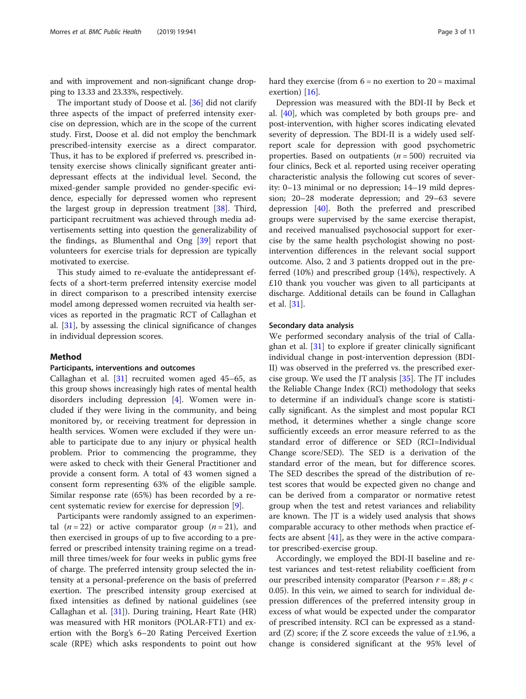and with improvement and non-significant change dropping to 13.33 and 23.33%, respectively.

The important study of Doose et al. [\[36](#page-9-0)] did not clarify three aspects of the impact of preferred intensity exercise on depression, which are in the scope of the current study. First, Doose et al. did not employ the benchmark prescribed-intensity exercise as a direct comparator. Thus, it has to be explored if preferred vs. prescribed intensity exercise shows clinically significant greater antidepressant effects at the individual level. Second, the mixed-gender sample provided no gender-specific evidence, especially for depressed women who represent the largest group in depression treatment [\[38\]](#page-9-0). Third, participant recruitment was achieved through media advertisements setting into question the generalizability of the findings, as Blumenthal and Ong [\[39\]](#page-9-0) report that volunteers for exercise trials for depression are typically motivated to exercise.

This study aimed to re-evaluate the antidepressant effects of a short-term preferred intensity exercise model in direct comparison to a prescribed intensity exercise model among depressed women recruited via health services as reported in the pragmatic RCT of Callaghan et al. [[31\]](#page-9-0), by assessing the clinical significance of changes in individual depression scores.

## Method

#### Participants, interventions and outcomes

Callaghan et al. [[31](#page-9-0)] recruited women aged 45–65, as this group shows increasingly high rates of mental health disorders including depression [[4\]](#page-9-0). Women were included if they were living in the community, and being monitored by, or receiving treatment for depression in health services. Women were excluded if they were unable to participate due to any injury or physical health problem. Prior to commencing the programme, they were asked to check with their General Practitioner and provide a consent form. A total of 43 women signed a consent form representing 63% of the eligible sample. Similar response rate (65%) has been recorded by a recent systematic review for exercise for depression [[9\]](#page-9-0).

Participants were randomly assigned to an experimental  $(n = 22)$  or active comparator group  $(n = 21)$ , and then exercised in groups of up to five according to a preferred or prescribed intensity training regime on a treadmill three times/week for four weeks in public gyms free of charge. The preferred intensity group selected the intensity at a personal-preference on the basis of preferred exertion. The prescribed intensity group exercised at fixed intensities as defined by national guidelines (see Callaghan et al. [[31](#page-9-0)]). During training, Heart Rate (HR) was measured with HR monitors (POLAR-FT1) and exertion with the Borg's 6–20 Rating Perceived Exertion scale (RPE) which asks respondents to point out how hard they exercise (from  $6 = no$  exertion to  $20 = maximal$ exertion) [[16](#page-9-0)].

Depression was measured with the BDI-II by Beck et al. [\[40\]](#page-9-0), which was completed by both groups pre- and post-intervention, with higher scores indicating elevated severity of depression. The BDI-II is a widely used selfreport scale for depression with good psychometric properties. Based on outpatients ( $n = 500$ ) recruited via four clinics, Beck et al. reported using receiver operating characteristic analysis the following cut scores of severity: 0–13 minimal or no depression; 14–19 mild depression; 20–28 moderate depression; and 29–63 severe depression [[40\]](#page-9-0). Both the preferred and prescribed groups were supervised by the same exercise therapist, and received manualised psychosocial support for exercise by the same health psychologist showing no postintervention differences in the relevant social support outcome. Also, 2 and 3 patients dropped out in the preferred (10%) and prescribed group (14%), respectively. A £10 thank you voucher was given to all participants at discharge. Additional details can be found in Callaghan et al. [\[31](#page-9-0)].

#### Secondary data analysis

We performed secondary analysis of the trial of Callaghan et al. [[31\]](#page-9-0) to explore if greater clinically significant individual change in post-intervention depression (BDI-II) was observed in the preferred vs. the prescribed exercise group. We used the JT analysis [\[35](#page-9-0)]. The JT includes the Reliable Change Index (RCI) methodology that seeks to determine if an individual's change score is statistically significant. As the simplest and most popular RCI method, it determines whether a single change score sufficiently exceeds an error measure referred to as the standard error of difference or SED (RCI=Individual Change score/SED). The SED is a derivation of the standard error of the mean, but for difference scores. The SED describes the spread of the distribution of retest scores that would be expected given no change and can be derived from a comparator or normative retest group when the test and retest variances and reliability are known. The JT is a widely used analysis that shows comparable accuracy to other methods when practice effects are absent  $[41]$  $[41]$ , as they were in the active comparator prescribed-exercise group.

Accordingly, we employed the BDI-II baseline and retest variances and test-retest reliability coefficient from our prescribed intensity comparator (Pearson  $r = .88; p <$ 0.05). In this vein, we aimed to search for individual depression differences of the preferred intensity group in excess of what would be expected under the comparator of prescribed intensity. RCI can be expressed as a standard  $(Z)$  score; if the Z score exceeds the value of  $\pm 1.96$ , a change is considered significant at the 95% level of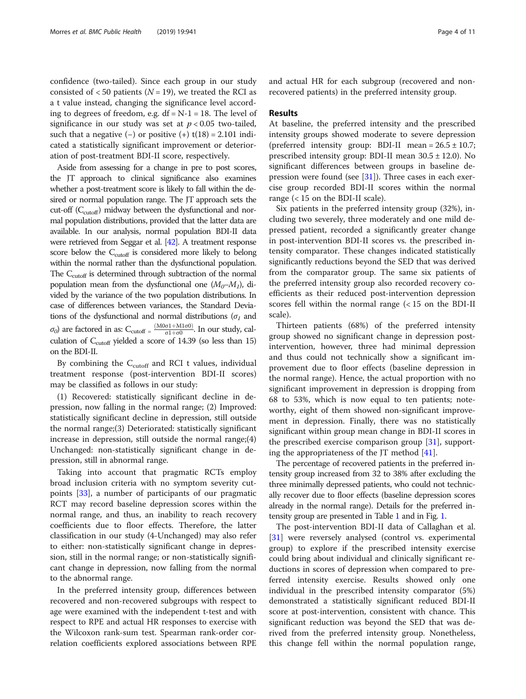confidence (two-tailed). Since each group in our study consisted of  $<$  50 patients ( $N$  = 19), we treated the RCI as a t value instead, changing the significance level according to degrees of freedom, e.g.  $df = N-1 = 18$ . The level of significance in our study was set at  $p < 0.05$  two-tailed, such that a negative  $(-)$  or positive  $(+)$  t(18) = 2.101 indicated a statistically significant improvement or deterioration of post-treatment BDI-II score, respectively.

Aside from assessing for a change in pre to post scores, the JT approach to clinical significance also examines whether a post-treatment score is likely to fall within the desired or normal population range. The JT approach sets the cut-off ( $C_{\text{cutoff}}$ ) midway between the dysfunctional and normal population distributions, provided that the latter data are available. In our analysis, normal population BDI-II data were retrieved from Seggar et al. [\[42\]](#page-9-0). A treatment response score below the  $C_{\text{cutoff}}$  is considered more likely to belong within the normal rather than the dysfunctional population. The C<sub>cutoff</sub> is determined through subtraction of the normal population mean from the dysfunctional one  $(M<sub>0</sub>-M<sub>1</sub>)$ , divided by the variance of the two population distributions. In case of differences between variances, the Standard Deviations of the dysfunctional and normal distributions ( $\sigma$ <sub>l</sub> and  $\sigma_0$ ) are factored in as: C<sub>cutoff</sub> =  $\frac{(M0\sigma1+M1\sigma0)}{\sigma1+\sigma0}$ . In our study, calculation of C<sub>cutoff</sub> yielded a score of 14.39 (so less than 15) on the BDI-II.

By combining the  $C_{\text{cutoff}}$  and RCI t values, individual treatment response (post-intervention BDI-II scores) may be classified as follows in our study:

(1) Recovered: statistically significant decline in depression, now falling in the normal range; (2) Improved: statistically significant decline in depression, still outside the normal range;(3) Deteriorated: statistically significant increase in depression, still outside the normal range;(4) Unchanged: non-statistically significant change in depression, still in abnormal range.

Taking into account that pragmatic RCTs employ broad inclusion criteria with no symptom severity cutpoints [[33](#page-9-0)], a number of participants of our pragmatic RCT may record baseline depression scores within the normal range, and thus, an inability to reach recovery coefficients due to floor effects. Therefore, the latter classification in our study (4-Unchanged) may also refer to either: non-statistically significant change in depression, still in the normal range; or non-statistically significant change in depression, now falling from the normal to the abnormal range.

In the preferred intensity group, differences between recovered and non-recovered subgroups with respect to age were examined with the independent t-test and with respect to RPE and actual HR responses to exercise with the Wilcoxon rank-sum test. Spearman rank-order correlation coefficients explored associations between RPE and actual HR for each subgroup (recovered and nonrecovered patients) in the preferred intensity group.

#### Results

At baseline, the preferred intensity and the prescribed intensity groups showed moderate to severe depression (preferred intensity group: BDI-II mean =  $26.5 \pm 10.7$ ; prescribed intensity group: BDI-II mean 30.5 ± 12.0). No significant differences between groups in baseline depression were found (see  $[31]$  $[31]$ ). Three cases in each exercise group recorded BDI-II scores within the normal range (< 15 on the BDI-II scale).

Six patients in the preferred intensity group (32%), including two severely, three moderately and one mild depressed patient, recorded a significantly greater change in post-intervention BDI-II scores vs. the prescribed intensity comparator. These changes indicated statistically significantly reductions beyond the SED that was derived from the comparator group. The same six patients of the preferred intensity group also recorded recovery coefficients as their reduced post-intervention depression scores fell within the normal range (< 15 on the BDI-II scale).

Thirteen patients (68%) of the preferred intensity group showed no significant change in depression postintervention, however, three had minimal depression and thus could not technically show a significant improvement due to floor effects (baseline depression in the normal range). Hence, the actual proportion with no significant improvement in depression is dropping from 68 to 53%, which is now equal to ten patients; noteworthy, eight of them showed non-significant improvement in depression. Finally, there was no statistically significant within group mean change in BDI-II scores in the prescribed exercise comparison group [\[31\]](#page-9-0), supporting the appropriateness of the JT method [\[41](#page-9-0)].

The percentage of recovered patients in the preferred intensity group increased from 32 to 38% after excluding the three minimally depressed patients, who could not technically recover due to floor effects (baseline depression scores already in the normal range). Details for the preferred intensity group are presented in Table [1](#page-4-0) and in Fig. [1.](#page-5-0)

The post-intervention BDI-II data of Callaghan et al. [[31\]](#page-9-0) were reversely analysed (control vs. experimental group) to explore if the prescribed intensity exercise could bring about individual and clinically significant reductions in scores of depression when compared to preferred intensity exercise. Results showed only one individual in the prescribed intensity comparator (5%) demonstrated a statistically significant reduced BDI-II score at post-intervention, consistent with chance. This significant reduction was beyond the SED that was derived from the preferred intensity group. Nonetheless, this change fell within the normal population range,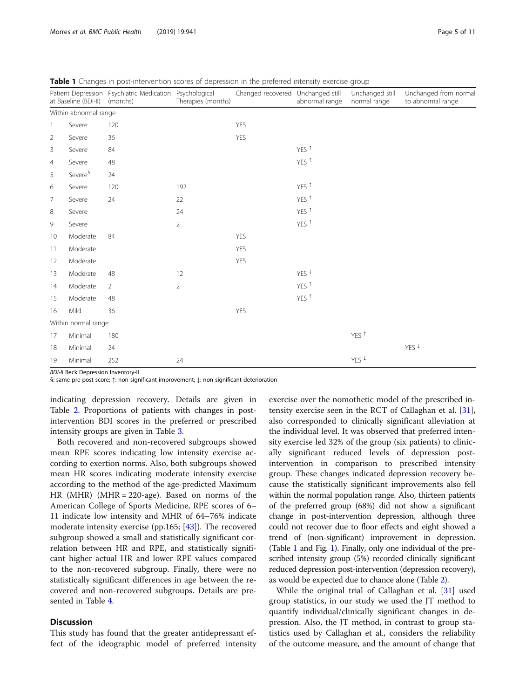<span id="page-4-0"></span>Table 1 Changes in post-intervention scores of depression in the preferred intensity exercise group

|                | at Baseline (BDI-II)  | Patient Depression Psychiatric Medication Psychological<br>(months) | Therapies (months) | Changed recovered Unchanged still | abnormal range   | Unchanged still<br>normal range | Unchanged from normal<br>to abnormal range |
|----------------|-----------------------|---------------------------------------------------------------------|--------------------|-----------------------------------|------------------|---------------------------------|--------------------------------------------|
|                | Within abnormal range |                                                                     |                    |                                   |                  |                                 |                                            |
| 1              | Severe                | 120                                                                 |                    | <b>YES</b>                        |                  |                                 |                                            |
| $\overline{2}$ | Severe                | 36                                                                  |                    | <b>YES</b>                        |                  |                                 |                                            |
| 3              | Severe                | 84                                                                  |                    |                                   | YES <sup>1</sup> |                                 |                                            |
| $\overline{4}$ | Severe                | 48                                                                  |                    |                                   | YES <sup>1</sup> |                                 |                                            |
| 5              | Severe <sup>§</sup>   | 24                                                                  |                    |                                   |                  |                                 |                                            |
| 6              | Severe                | 120                                                                 | 192                |                                   | YES <sup>1</sup> |                                 |                                            |
| 7              | Severe                | 24                                                                  | 22                 |                                   | YES <sup>1</sup> |                                 |                                            |
| 8              | Severe                |                                                                     | 24                 |                                   | YES <sup>1</sup> |                                 |                                            |
| 9              | Severe                |                                                                     | $\overline{2}$     |                                   | YES <sup>1</sup> |                                 |                                            |
| 10             | Moderate              | 84                                                                  |                    | <b>YES</b>                        |                  |                                 |                                            |
| 11             | Moderate              |                                                                     |                    | <b>YES</b>                        |                  |                                 |                                            |
| 12             | Moderate              |                                                                     |                    | <b>YES</b>                        |                  |                                 |                                            |
| 13             | Moderate              | 48                                                                  | 12                 |                                   | YES ↓            |                                 |                                            |
| 14             | Moderate              | 2                                                                   | $\overline{2}$     |                                   | YES <sup>1</sup> |                                 |                                            |
| 15             | Moderate              | 48                                                                  |                    |                                   | YES <sup>1</sup> |                                 |                                            |
| 16             | Mild                  | 36                                                                  |                    | YES                               |                  |                                 |                                            |
|                | Within normal range   |                                                                     |                    |                                   |                  |                                 |                                            |
| 17             | Minimal               | 180                                                                 |                    |                                   |                  | YES <sup>1</sup>                |                                            |
| 18             | Minimal               | 24                                                                  |                    |                                   |                  |                                 | YES ↓                                      |
| 19             | Minimal               | 252                                                                 | 24                 |                                   |                  | YES ↓                           |                                            |

BDI-II Beck Depression Inventory-II

§: same pre-post score; ↑: non-significant improvement;  $\downarrow$ : non-significant deterioration

indicating depression recovery. Details are given in Table [2](#page-6-0). Proportions of patients with changes in postintervention BDI scores in the preferred or prescribed intensity groups are given in Table [3](#page-6-0).

Both recovered and non-recovered subgroups showed mean RPE scores indicating low intensity exercise according to exertion norms. Also, both subgroups showed mean HR scores indicating moderate intensity exercise according to the method of the age-predicted Maximum HR (MHR) (MHR = 220-age). Based on norms of the American College of Sports Medicine, RPE scores of 6– 11 indicate low intensity and MHR of 64–76% indicate moderate intensity exercise (pp.165; [\[43](#page-9-0)]). The recovered subgroup showed a small and statistically significant correlation between HR and RPE, and statistically significant higher actual HR and lower RPE values compared to the non-recovered subgroup. Finally, there were no statistically significant differences in age between the recovered and non-recovered subgroups. Details are presented in Table [4.](#page-7-0)

## **Discussion**

This study has found that the greater antidepressant effect of the ideographic model of preferred intensity

exercise over the nomothetic model of the prescribed intensity exercise seen in the RCT of Callaghan et al. [\[31](#page-9-0)], also corresponded to clinically significant alleviation at the individual level. It was observed that preferred intensity exercise led 32% of the group (six patients) to clinically significant reduced levels of depression postintervention in comparison to prescribed intensity group. These changes indicated depression recovery because the statistically significant improvements also fell within the normal population range. Also, thirteen patients of the preferred group (68%) did not show a significant change in post-intervention depression, although three could not recover due to floor effects and eight showed a trend of (non-significant) improvement in depression. (Table 1 and Fig. [1\)](#page-5-0). Finally, only one individual of the prescribed intensity group (5%) recorded clinically significant reduced depression post-intervention (depression recovery), as would be expected due to chance alone (Table [2\)](#page-6-0).

While the original trial of Callaghan et al. [\[31](#page-9-0)] used group statistics, in our study we used the JT method to quantify individual/clinically significant changes in depression. Also, the JT method, in contrast to group statistics used by Callaghan et al., considers the reliability of the outcome measure, and the amount of change that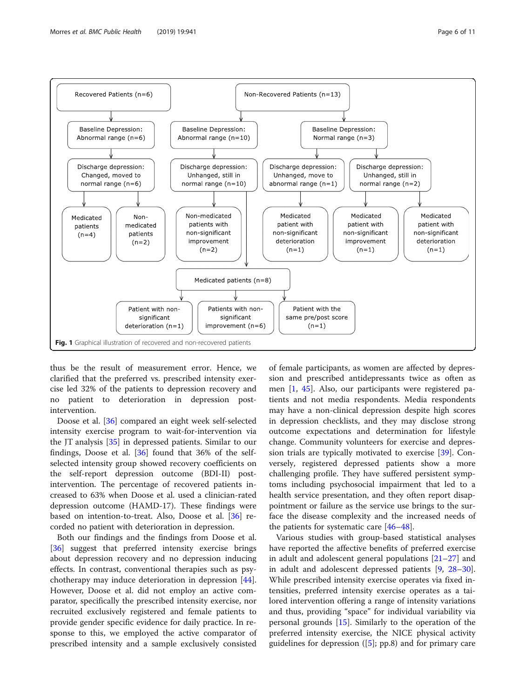<span id="page-5-0"></span>

thus be the result of measurement error. Hence, we clarified that the preferred vs. prescribed intensity exercise led 32% of the patients to depression recovery and no patient to deterioration in depression postintervention.

Doose et al. [\[36\]](#page-9-0) compared an eight week self-selected intensity exercise program to wait-for-intervention via the JT analysis [\[35\]](#page-9-0) in depressed patients. Similar to our findings, Doose et al. [\[36](#page-9-0)] found that 36% of the selfselected intensity group showed recovery coefficients on the self-report depression outcome (BDI-II) postintervention. The percentage of recovered patients increased to 63% when Doose et al. used a clinician-rated depression outcome (HAMD-17). These findings were based on intention-to-treat. Also, Doose et al. [\[36](#page-9-0)] recorded no patient with deterioration in depression.

Both our findings and the findings from Doose et al. [[36\]](#page-9-0) suggest that preferred intensity exercise brings about depression recovery and no depression inducing effects. In contrast, conventional therapies such as psychotherapy may induce deterioration in depression [\[44](#page-9-0)]. However, Doose et al. did not employ an active comparator, specifically the prescribed intensity exercise, nor recruited exclusively registered and female patients to provide gender specific evidence for daily practice. In response to this, we employed the active comparator of prescribed intensity and a sample exclusively consisted

of female participants, as women are affected by depression and prescribed antidepressants twice as often as men [\[1](#page-8-0), [45\]](#page-9-0). Also, our participants were registered patients and not media respondents. Media respondents may have a non-clinical depression despite high scores in depression checklists, and they may disclose strong outcome expectations and determination for lifestyle change. Community volunteers for exercise and depression trials are typically motivated to exercise [[39\]](#page-9-0). Conversely, registered depressed patients show a more challenging profile. They have suffered persistent symptoms including psychosocial impairment that led to a health service presentation, and they often report disappointment or failure as the service use brings to the surface the disease complexity and the increased needs of the patients for systematic care  $[46-48]$  $[46-48]$  $[46-48]$  $[46-48]$ .

Various studies with group-based statistical analyses have reported the affective benefits of preferred exercise in adult and adolescent general populations [[21](#page-9-0)–[27](#page-9-0)] and in adult and adolescent depressed patients [[9,](#page-9-0) [28](#page-9-0)–[30](#page-9-0)]. While prescribed intensity exercise operates via fixed intensities, preferred intensity exercise operates as a tailored intervention offering a range of intensity variations and thus, providing "space" for individual variability via personal grounds [\[15](#page-9-0)]. Similarly to the operation of the preferred intensity exercise, the NICE physical activity guidelines for depression  $([5]; pp.8)$  $([5]; pp.8)$  $([5]; pp.8)$  and for primary care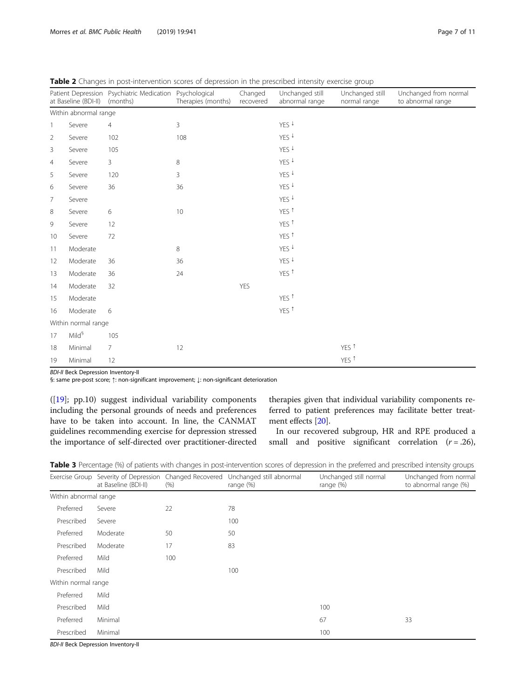<span id="page-6-0"></span>

|  |  | Table 2 Changes in post-intervention scores of depression in the prescribed intensity exercise group |  |  |  |  |  |  |  |
|--|--|------------------------------------------------------------------------------------------------------|--|--|--|--|--|--|--|
|--|--|------------------------------------------------------------------------------------------------------|--|--|--|--|--|--|--|

|                | at Baseline (BDI-II)  | Patient Depression Psychiatric Medication Psychological<br>(months) | Therapies (months) | Changed<br>recovered | Unchanged still<br>abnormal range | Unchanged still<br>normal range | Unchanged from normal<br>to abnormal range |  |  |  |
|----------------|-----------------------|---------------------------------------------------------------------|--------------------|----------------------|-----------------------------------|---------------------------------|--------------------------------------------|--|--|--|
|                | Within abnormal range |                                                                     |                    |                      |                                   |                                 |                                            |  |  |  |
| 1              | Severe                | $\overline{4}$                                                      | 3                  |                      | YES                               |                                 |                                            |  |  |  |
| $\overline{2}$ | Severe                | 102                                                                 | 108                |                      | YES ↓                             |                                 |                                            |  |  |  |
| 3              | Severe                | 105                                                                 |                    |                      | YES ↓                             |                                 |                                            |  |  |  |
| 4              | Severe                | 3                                                                   | 8                  |                      | YES ↓                             |                                 |                                            |  |  |  |
| 5              | Severe                | 120                                                                 | 3                  |                      | YES ↓                             |                                 |                                            |  |  |  |
| 6              | Severe                | 36                                                                  | 36                 |                      | YES ↓                             |                                 |                                            |  |  |  |
| 7              | Severe                |                                                                     |                    |                      | YES                               |                                 |                                            |  |  |  |
| 8              | Severe                | 6                                                                   | 10                 |                      | YES <sup>1</sup>                  |                                 |                                            |  |  |  |
| 9              | Severe                | 12                                                                  |                    |                      | YES <sup>1</sup>                  |                                 |                                            |  |  |  |
| 10             | Severe                | 72                                                                  |                    |                      | YES <sup>1</sup>                  |                                 |                                            |  |  |  |
| 11             | Moderate              |                                                                     | 8                  |                      | YES ↓                             |                                 |                                            |  |  |  |
| 12             | Moderate              | 36                                                                  | 36                 |                      | YES ↓                             |                                 |                                            |  |  |  |
| 13             | Moderate              | 36                                                                  | 24                 |                      | YES <sup>1</sup>                  |                                 |                                            |  |  |  |
| 14             | Moderate              | 32                                                                  |                    | YES                  |                                   |                                 |                                            |  |  |  |
| 15             | Moderate              |                                                                     |                    |                      | YES <sup>1</sup>                  |                                 |                                            |  |  |  |
| 16             | Moderate              | 6                                                                   |                    |                      | YES <sup>1</sup>                  |                                 |                                            |  |  |  |
|                | Within normal range   |                                                                     |                    |                      |                                   |                                 |                                            |  |  |  |
| 17             | $Mild^{\S}$           | 105                                                                 |                    |                      |                                   |                                 |                                            |  |  |  |
| 18             | Minimal               | $7^{\circ}$                                                         | 12                 |                      |                                   | YES <sup>1</sup>                |                                            |  |  |  |
| 19             | Minimal               | 12                                                                  |                    |                      |                                   | YES <sup>1</sup>                |                                            |  |  |  |

BDI-II Beck Depression Inventory-II

§: same pre-post score; ↑: non-significant improvement; ↓: non-significant deterioration

([\[19\]](#page-9-0); pp.10) suggest individual variability components including the personal grounds of needs and preferences have to be taken into account. In line, the CANMAT guidelines recommending exercise for depression stressed the importance of self-directed over practitioner-directed therapies given that individual variability components referred to patient preferences may facilitate better treatment effects [\[20\]](#page-9-0).

In our recovered subgroup, HR and RPE produced a small and positive significant correlation  $(r=.26)$ ,

|  |  |  |  |  | Table 3 Percentage (%) of patients with changes in post-intervention scores of depression in the preferred and prescribed intensity groups |
|--|--|--|--|--|--------------------------------------------------------------------------------------------------------------------------------------------|
|--|--|--|--|--|--------------------------------------------------------------------------------------------------------------------------------------------|

| Exercise Group        | at Baseline (BDI-II) | (% ) | Severity of Depression Changed Recovered Unchanged still abnormal<br>range $(\%)$ | Unchanged still normal<br>range (%) | Unchanged from normal<br>to abnormal range (%) |
|-----------------------|----------------------|------|-----------------------------------------------------------------------------------|-------------------------------------|------------------------------------------------|
| Within abnormal range |                      |      |                                                                                   |                                     |                                                |
| Preferred             | Severe               | 22   | 78                                                                                |                                     |                                                |
| Prescribed            | Severe               |      | 100                                                                               |                                     |                                                |
| Preferred             | Moderate             | 50   | 50                                                                                |                                     |                                                |
| Prescribed            | Moderate             | 17   | 83                                                                                |                                     |                                                |
| Preferred             | Mild                 | 100  |                                                                                   |                                     |                                                |
| Prescribed            | Mild                 |      | 100                                                                               |                                     |                                                |
| Within normal range   |                      |      |                                                                                   |                                     |                                                |
| Preferred             | Mild                 |      |                                                                                   |                                     |                                                |
| Prescribed            | Mild                 |      |                                                                                   | 100                                 |                                                |
| Preferred             | Minimal              |      |                                                                                   | 67                                  | 33                                             |
| Prescribed            | Minimal              |      |                                                                                   | 100                                 |                                                |

BDI-II Beck Depression Inventory-II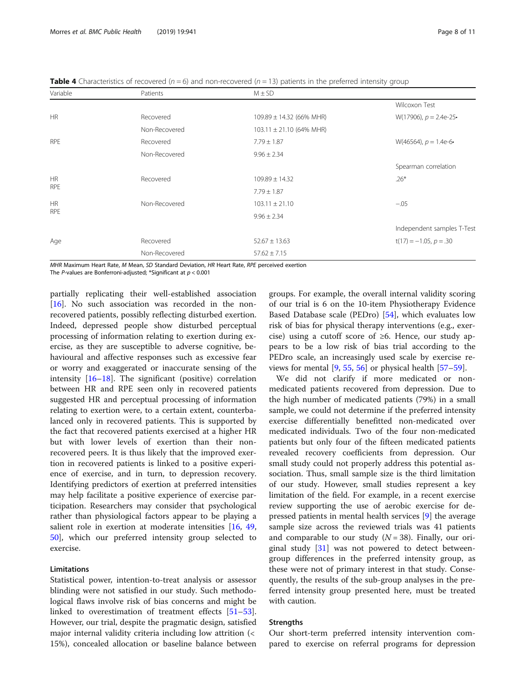<span id="page-7-0"></span>**Table 4** Characteristics of recovered ( $n = 6$ ) and non-recovered ( $n = 13$ ) patients in the preferred intensity group

| Variable   | Patients      | $M \pm SD$                   |                             |
|------------|---------------|------------------------------|-----------------------------|
|            |               |                              | Wilcoxon Test               |
| <b>HR</b>  | Recovered     | $109.89 \pm 14.32$ (66% MHR) | $W(17906)$ , $p = 2.4e-25$  |
|            | Non-Recovered | $103.11 \pm 21.10$ (64% MHR) |                             |
| <b>RPE</b> | Recovered     | $7.79 \pm 1.87$              | $W(46564)$ , $p = 1.4e-6$   |
|            | Non-Recovered | $9.96 \pm 2.34$              |                             |
|            |               |                              | Spearman correlation        |
| HR         | Recovered     | $109.89 \pm 14.32$           | $.26*$                      |
| <b>RPE</b> |               | $7.79 \pm 1.87$              |                             |
| <b>HR</b>  | Non-Recovered | $103.11 \pm 21.10$           | $-.05$                      |
| <b>RPE</b> |               | $9.96 \pm 2.34$              |                             |
|            |               |                              | Independent samples T-Test  |
| Age        | Recovered     | $52.67 \pm 13.63$            | $t(17) = -1.05$ , $p = .30$ |
|            | Non-Recovered | $57.62 \pm 7.15$             |                             |

MHR Maximum Heart Rate, M Mean, SD Standard Deviation, HR Heart Rate, RPE perceived exertion The P-values are Bonferroni-adjusted: \*Significant at  $p < 0.001$ 

partially replicating their well-established association [[16\]](#page-9-0). No such association was recorded in the nonrecovered patients, possibly reflecting disturbed exertion. Indeed, depressed people show disturbed perceptual processing of information relating to exertion during exercise, as they are susceptible to adverse cognitive, behavioural and affective responses such as excessive fear or worry and exaggerated or inaccurate sensing of the intensity  $[16–18]$  $[16–18]$  $[16–18]$  $[16–18]$  $[16–18]$ . The significant (positive) correlation between HR and RPE seen only in recovered patients suggested HR and perceptual processing of information relating to exertion were, to a certain extent, counterbalanced only in recovered patients. This is supported by the fact that recovered patients exercised at a higher HR but with lower levels of exertion than their nonrecovered peers. It is thus likely that the improved exertion in recovered patients is linked to a positive experience of exercise, and in turn, to depression recovery. Identifying predictors of exertion at preferred intensities may help facilitate a positive experience of exercise participation. Researchers may consider that psychological rather than physiological factors appear to be playing a salient role in exertion at moderate intensities [\[16,](#page-9-0) [49](#page-9-0), [50\]](#page-9-0), which our preferred intensity group selected to exercise.

### Limitations

Statistical power, intention-to-treat analysis or assessor blinding were not satisfied in our study. Such methodological flaws involve risk of bias concerns and might be linked to overestimation of treatment effects [[51](#page-9-0)–[53](#page-9-0)]. However, our trial, despite the pragmatic design, satisfied major internal validity criteria including low attrition (< 15%), concealed allocation or baseline balance between

groups. For example, the overall internal validity scoring of our trial is 6 on the 10-item Physiotherapy Evidence Based Database scale (PEDro) [\[54](#page-9-0)], which evaluates low risk of bias for physical therapy interventions (e.g., exercise) using a cutoff score of ≥6. Hence, our study appears to be a low risk of bias trial according to the PEDro scale, an increasingly used scale by exercise reviews for mental [[9](#page-9-0), [55](#page-9-0), [56](#page-9-0)] or physical health [[57](#page-9-0)–[59\]](#page-10-0).

We did not clarify if more medicated or nonmedicated patients recovered from depression. Due to the high number of medicated patients (79%) in a small sample, we could not determine if the preferred intensity exercise differentially benefitted non-medicated over medicated individuals. Two of the four non-medicated patients but only four of the fifteen medicated patients revealed recovery coefficients from depression. Our small study could not properly address this potential association. Thus, small sample size is the third limitation of our study. However, small studies represent a key limitation of the field. For example, in a recent exercise review supporting the use of aerobic exercise for depressed patients in mental health services [\[9](#page-9-0)] the average sample size across the reviewed trials was 41 patients and comparable to our study  $(N = 38)$ . Finally, our original study [[31\]](#page-9-0) was not powered to detect betweengroup differences in the preferred intensity group, as these were not of primary interest in that study. Consequently, the results of the sub-group analyses in the preferred intensity group presented here, must be treated with caution.

#### Strengths

Our short-term preferred intensity intervention compared to exercise on referral programs for depression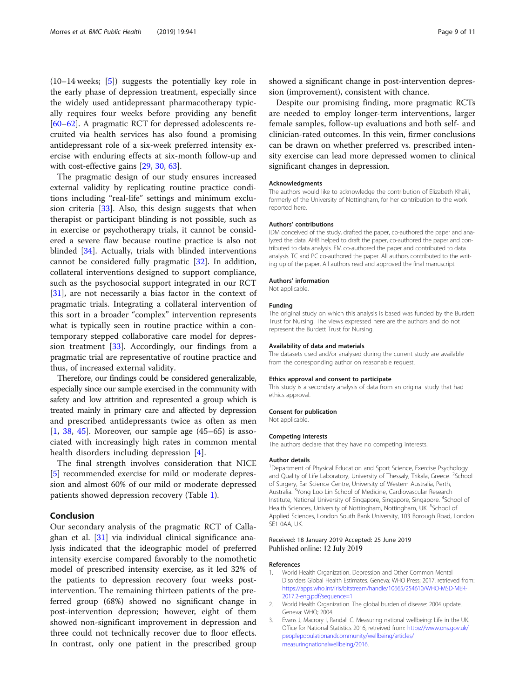<span id="page-8-0"></span>(10–14 weeks; [\[5](#page-9-0)]) suggests the potentially key role in the early phase of depression treatment, especially since the widely used antidepressant pharmacotherapy typically requires four weeks before providing any benefit [[60](#page-10-0)–[62](#page-10-0)]. A pragmatic RCT for depressed adolescents recruited via health services has also found a promising antidepressant role of a six-week preferred intensity exercise with enduring effects at six-month follow-up and with cost-effective gains [[29,](#page-9-0) [30,](#page-9-0) [63\]](#page-10-0).

The pragmatic design of our study ensures increased external validity by replicating routine practice conditions including "real-life" settings and minimum exclusion criteria [[33\]](#page-9-0). Also, this design suggests that when therapist or participant blinding is not possible, such as in exercise or psychotherapy trials, it cannot be considered a severe flaw because routine practice is also not blinded [[34\]](#page-9-0). Actually, trials with blinded interventions cannot be considered fully pragmatic [\[32\]](#page-9-0). In addition, collateral interventions designed to support compliance, such as the psychosocial support integrated in our RCT [[31\]](#page-9-0), are not necessarily a bias factor in the context of pragmatic trials. Integrating a collateral intervention of this sort in a broader "complex" intervention represents what is typically seen in routine practice within a contemporary stepped collaborative care model for depression treatment [\[33\]](#page-9-0). Accordingly, our findings from a pragmatic trial are representative of routine practice and thus, of increased external validity.

Therefore, our findings could be considered generalizable, especially since our sample exercised in the community with safety and low attrition and represented a group which is treated mainly in primary care and affected by depression and prescribed antidepressants twice as often as men  $[1, 38, 45]$  $[1, 38, 45]$  $[1, 38, 45]$  $[1, 38, 45]$  $[1, 38, 45]$ . Moreover, our sample age  $(45-65)$  is associated with increasingly high rates in common mental health disorders including depression [[4\]](#page-9-0).

The final strength involves consideration that NICE [[5\]](#page-9-0) recommended exercise for mild or moderate depression and almost 60% of our mild or moderate depressed patients showed depression recovery (Table [1\)](#page-4-0).

## Conclusion

Our secondary analysis of the pragmatic RCT of Callaghan et al. [[31](#page-9-0)] via individual clinical significance analysis indicated that the ideographic model of preferred intensity exercise compared favorably to the nomothetic model of prescribed intensity exercise, as it led 32% of the patients to depression recovery four weeks postintervention. The remaining thirteen patients of the preferred group (68%) showed no significant change in post-intervention depression; however, eight of them showed non-significant improvement in depression and three could not technically recover due to floor effects. In contrast, only one patient in the prescribed group showed a significant change in post-intervention depression (improvement), consistent with chance.

Despite our promising finding, more pragmatic RCTs are needed to employ longer-term interventions, larger female samples, follow-up evaluations and both self- and clinician-rated outcomes. In this vein, firmer conclusions can be drawn on whether preferred vs. prescribed intensity exercise can lead more depressed women to clinical significant changes in depression.

#### Acknowledgments

The authors would like to acknowledge the contribution of Elizabeth Khalil, formerly of the University of Nottingham, for her contribution to the work reported here.

#### Authors' contributions

IDM conceived of the study, drafted the paper, co-authored the paper and analyzed the data. AΗB helped to draft the paper, co-authored the paper and contributed to data analysis. EM co-authored the paper and contributed to data analysis. TC and PC co-authored the paper. All authors contributed to the writing up of the paper. All authors read and approved the final manuscript.

#### Authors' information

Not applicable.

#### Funding

The original study on which this analysis is based was funded by the Burdett Trust for Nursing. The views expressed here are the authors and do not represent the Burdett Trust for Nursing.

#### Availability of data and materials

The datasets used and/or analysed during the current study are available from the corresponding author on reasonable request.

#### Ethics approval and consent to participate

This study is a secondary analysis of data from an original study that had ethics approval.

#### Consent for publication

Not applicable.

## Competing interests

The authors declare that they have no competing interests.

#### Author details

<sup>1</sup>Department of Physical Education and Sport Science, Exercise Psychology and Quality of Life Laboratory, University of Thessaly, Trikala, Greece. <sup>2</sup>School of Surgery, Ear Science Centre, University of Western Australia, Perth, Australia. <sup>3</sup>Yong Loo Lin School of Medicine, Cardiovascular Research Institute, National University of Singapore, Singapore, Singapore. <sup>4</sup>School of Health Sciences, University of Nottingham, Nottingham, UK. <sup>5</sup>School of Applied Sciences, London South Bank University, 103 Borough Road, London SE1 0AA, UK.

#### Received: 18 January 2019 Accepted: 25 June 2019 Published online: 12 July 2019

#### References

- 1. World Health Organization. Depression and Other Common Mental Disorders Global Health Estimates. Geneva: WHO Press; 2017. retrieved from: [https://apps.who.int/iris/bitstream/handle/10665/254610/WHO-MSD-MER-](https://apps.who.int/iris/bitstream/handle/10665/254610/WHO-MSD-MER-2017.2-eng.pdf?sequence=1)[2017.2-eng.pdf?sequence=1](https://apps.who.int/iris/bitstream/handle/10665/254610/WHO-MSD-MER-2017.2-eng.pdf?sequence=1)
- 2. World Health Organization. The global burden of disease: 2004 update. Geneva: WHO; 2004.
- 3. Evans J, Macrory I, Randall C. Measuring national wellbeing: Life in the UK. Office for National Statistics 2016, retreived from: [https://www.ons.gov.uk/](https://www.ons.gov.uk/peoplepopulationandcommunity/wellbeing/articles/measuringnationalwellbeing/2016) [peoplepopulationandcommunity/wellbeing/articles/](https://www.ons.gov.uk/peoplepopulationandcommunity/wellbeing/articles/measuringnationalwellbeing/2016) [measuringnationalwellbeing/2016](https://www.ons.gov.uk/peoplepopulationandcommunity/wellbeing/articles/measuringnationalwellbeing/2016).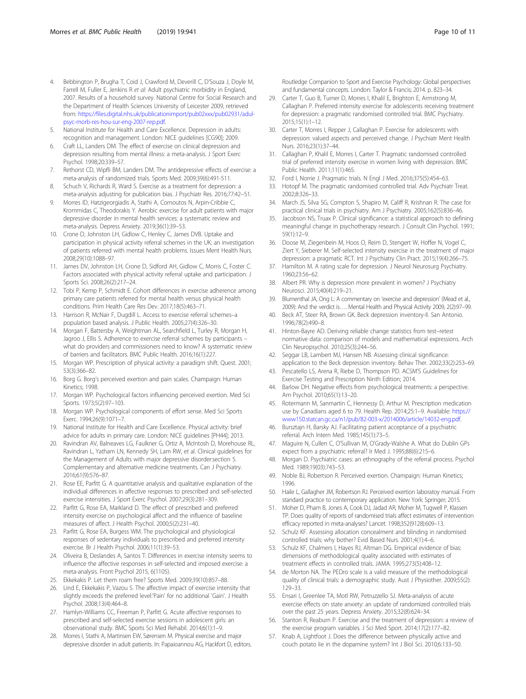- <span id="page-9-0"></span>4. Bebbington P, Brugha T, Coid J, Crawford M, Deverill C, D'Souza J, Doyle M, Farrell M, Fuller E, Jenkins R et al: Adult psychiatric morbidity in England, 2007. Results of a household survey. National Centre for Social Research and the Department of Health Sciences University of Leicester 2009, retrieved from: [https://files.digital.nhs.uk/publicationimport/pub02xxx/pub02931/adul](https://files.digital.nhs.uk/publicationimport/pub02xxx/pub02931/adul-psyc-morb-res-hou-sur-eng-2007-rep.pdf)[psyc-morb-res-hou-sur-eng-2007-rep.pdf.](https://files.digital.nhs.uk/publicationimport/pub02xxx/pub02931/adul-psyc-morb-res-hou-sur-eng-2007-rep.pdf)
- 5. National Institute for Health and Care Excellence. Depression in adults: recognition and management. London: NICE guidelines [CG90]; 2009.
- 6. Craft LL, Landers DM. The effect of exercise on clinical depression and depression resulting from mental illness: a meta-analysis. J Sport Exerc Psychol. 1998;20:339–57.
- 7. Rethorst CD, Wipfli BM, Landers DM. The antidepressive effects of exercise: a meta-analysis of randomized trials. Sports Med. 2009;39(6):491-511.
- 8. Schuch V, Richards R, Ward S. Exercise as a treatment for depression: a meta-analysis adjusting for publication bias. J Psychiatr Res. 2016;77:42–51.
- 9. Morres ID, Hatzigeorgiadis A, Stathi A, Comoutos N, Arpin-Cribbie C, Krommidas C, Theodorakis Y. Aerobic exercise for adult patients with major depressive disorder in mental health services: a systematic review and meta-analysis. Depress Anxiety. 2019;36(1):39–53.
- 10. Crone D, Johnston LH, Gidlow C, Henley C, James DVB. Uptake and participation in physical activity referral schemes in the UK: an investigation of patients referred with mental health problems. Issues Ment Health Nurs. 2008;29(10):1088–97.
- 11. James DV, Johnston LH, Crone D, Sidford AH, Gidlow C, Morris C, Foster C. Factors associated with physical activity referral uptake and participation. J Sports Sci. 2008;26(2):217–24.
- 12. Tobi P, Kemp P, Schmidt E. Cohort differences in exercise adherence among primary care patients referred for mental health versus physical health conditions. Prim Health Care Res Dev. 2017;18(5):463–71.
- 13. Harrison R, McNair F, Dugdill L. Access to exercise referral schemes–a population based analysis. J Public Health. 2005;27(4):326–30.
- 14. Morgan F, Battersby A, Weightman AL, Searchfield L, Turley R, Morgan H, Jagroo J, Ellis S. Adherence to exercise referral schemes by participants – what do providers and commissioners need to know? A systematic review of barriers and facilitators. BMC Public Health. 2016;16(1):227.
- 15. Morgan WP. Prescription of physical activity: a paradigm shift. Quest. 2001; 53(3):366–82.
- 16. Borg G. Borg's perceived exertion and pain scales. Champaign: Human Kinetics; 1998.
- 17. Morgan WP. Psychological factors influencing perceived exertion. Med Sci Sports. 1973;5(2):97–103.
- 18. Morgan WP. Psychological components of effort sense. Med Sci Sports Exerc. 1994;26(9):1071–7.
- 19. National Institute for Health and Care Excellence. Physical activity: brief advice for adults in primary care. London: NICE guidelines [PH44]; 2013.
- 20. Ravindran AV, Balneaves LG, Faulkner G, Ortiz A, McIntosh D, Morehouse RL, Ravindran L, Yatham LN, Kennedy SH, Lam RW, et al. Clinical guidelines for the Management of Adults with major depressive disorder:section 5. Complementary and alternative medicine treatments. Can J Psychiatry. 2016;61(9):576–87.
- 21. Rose EE, Parfitt G. A quantitative analysis and qualitative explanation of the individual differences in affective responses to prescribed and self-selected exercise intensities. J Sport Exerc Psychol. 2007;29(3):281–309.
- 22. Parfitt G, Rose EA, Markland D. The effect of prescribed and preferred intensity exercise on psychological affect and the influence of baseline measures of affect. J Health Psychol. 2000;5(2):231–40.
- 23. Parfitt G, Rose EA, Burgess WM. The psychological and physiological responses of sedentary individuals to prescribed and preferred intensity exercise. Br J Health Psychol. 2006;11(1):39–53.
- 24. Oliveira B, Deslandes A, Santos T: Differences in exercise intensity seems to influence the affective responses in self-selected and imposed exercise: a meta-analysis. Front Psychol 2015, 6(1105).
- 25. Ekkekakis P. Let them roam free? Sports Med. 2009;39(10):857–88.
- 26. Lind E, Ekkekakis P, Vazou S. The affective impact of exercise intensity that slightly exceeds the preferred level:'Pain' for no additional 'Gain'. J Health Psychol. 2008;13(4):464–8.
- 27. Hamlyn-Williams CC, Freeman P, Parfitt G. Acute affective responses to prescribed and self-selected exercise sessions in adolescent girls: an observational study. BMC Sports Sci Med Rehabil. 2014;6(1):1–9.
- 28. Morres I, Stathi A, Martinsen EW, Sørensen M. Physical exercise and major depressive disorder in adult patients. In: Papaioannou AG, Hackfort D, editors.

Routledge Companion to Sport and Exercise Psychology: Global perspectives and fundamental concepts. London: Taylor & Francis; 2014. p. 823–34.

- 29. Carter T, Guo B, Turner D, Morres I, Khalil E, Brighton E, Armstrong M, Callaghan P. Preferred intensity exercise for adolescents receiving treatment for depression: a pragmatic randomised controlled trial. BMC Psychiatry. 2015;15(1):1–12.
- 30. Carter T, Morres I, Repper J, Callaghan P. Exercise for adolescents with depression: valued aspects and perceived change. J Psychiatr Ment Health Nurs. 2016;23(1):37–44.
- 31. Callaghan P, Khalil E, Morres I, Carter T. Pragmatic randomised controlled trial of preferred intensity exercise in women living with depression. BMC Public Health. 2011;11(1):465.
- 32. Ford I, Norrie J. Pragmatic trials. N Engl J Med. 2016;375(5):454–63.
- 33. Hotopf M. The pragmatic randomised controlled trial. Adv Psychiatr Treat. 2002;8:326–33.
- 34. March JS, Silva SG, Compton S, Shapiro M, Califf R, Krishnan R. The case for practical clinical trials in psychiatry. Am J Psychiatry. 2005;162(5):836–46.
- 35. Jacobson NS, Truax P. Clinical significance: a statistical approach to defining meaningful change in psychotherapy research. J Consult Clin Psychol. 1991; 59(1):12–9.
- 36. Doose M, Ziegenbein M, Hoos O, Reim D, Stengert W, Hoffer N, Vogel C, Ziert Y, Sieberer M. Self-selected intensity exercise in the treatment of major depression: a pragmatic RCT. Int J Psychiatry Clin Pract. 2015;19(4):266–75.
- 37. Hamilton M. A rating scale for depression. J Neurol Neurosurg Psychiatry. 1960;23:56–62.
- 38. Albert PR. Why is depression more prevalent in women? J Psychiatry Neurosci. 2015;40(4):219–21.
- 39. Blumenthal JA, Ong L: A commentary on 'exercise and depression' (Mead et al., 2009): And the verdict is…. Mental Health and Physical Activity 2009, 2(2):97–99.
- 40. Beck AT, Steer RA, Brown GK. Beck depression inventory-II. San Antonio. 1996;78(2):490–8.
- 41. Hinton-Bayre AD. Deriving reliable change statistics from test–retest normative data: comparison of models and mathematical expressions. Arch Clin Neuropsychol. 2010;25(3):244–56.
- 42. Seggar LB, Lambert MJ, Hansen NB. Assessing clinical significance: application to the Beck depression inventory. Behav Ther. 2002;33(2):253–69.
- 43. Pescatello LS, Arena R, Riebe D, Thompson PD. ACSM'S Guidelines for Exercise Testing and Prescription Ninth Edition; 2014.
- 44. Barlow DH. Negative effects from psychological treatments: a perspective. Am Psychol. 2010;65(1):13–20.
- 45. Rotermann M, Sanmartin C, Hennessy D, Arthur M. Prescription medication use by Canadians aged 6 to 79. Health Rep. 2014;25:1–9. Available: [https://](https://www150.statcan.gc.ca/n1/pub/82-003-x/2014006/article/14032-eng.pdf) [www150.statcan.gc.ca/n1/pub/82-003-x/2014006/article/14032-eng.pdf.](https://www150.statcan.gc.ca/n1/pub/82-003-x/2014006/article/14032-eng.pdf)
- 46. Bursztajn H, Barsky AJ. Facilitating patient acceptance of a psychiatric referral. Arch Intern Med. 1985;145(1):73–5.
- 47. Maguire N, Cullen C, O'Sullivan M, O'Grady-Walshe A. What do Dublin GPs expect from a psychiatric referral? Ir Med J. 1995;88(6):215–6.
- 48. Morgan D. Psychiatric cases: an ethnography of the referral process. Psychol Med. 1989;19(03):743–53.
- 49. Noble BJ, Robertson R. Perceived exertion. Champaign: Human Kinetics; 1996.
- 50. Haile L, Gallagher JM, Robertson RJ. Perceived exertion laboratoy manual. From standard practice to contemporary application. New York: Springer; 2015.
- 51. Moher D, Pham B, Jones A, Cook DJ, Jadad AR, Moher M, Tugwell P, Klassen TP. Does quality of reports of randomised trials affect estimates of intervention efficacy reported in meta-analyses? Lancet. 1998;352(9128):609–13.
- 52. Schulz KF. Assessing allocation concealment and blinding in randomised controlled trials: why bother? Evid Based Nurs. 2001;4(1):4–6.
- 53. Schulz KF, Chalmers I, Hayes RJ, Altman DG. Empirical evidence of bias: dimensions of methodological quality associated with estimates of treatment effects in controlled trials. JAMA. 1995;273(5):408–12.
- 54. de Morton NA. The PEDro scale is a valid measure of the methodological quality of clinical trials: a demographic study. Aust J Physiother. 2009;55(2): 129–33.
- 55. Ensari I, Greenlee TA, Motl RW, Petruzzello SJ. Meta-analysis of acute exercise effects on state anxiety: an update of randomized controlled trials over the past 25 years. Depress Anxiety. 2015;32(8):624–34.
- 56. Stanton R, Reaburn P. Exercise and the treatment of depression: a review of the exercise program variables. J Sci Med Sport. 2014;17(2):177–82.
- 57. Knab A, Lightfoot J. Does the difference between physically active and couch potato lie in the dopamine system? Int J Biol Sci. 2010;6:133–50.